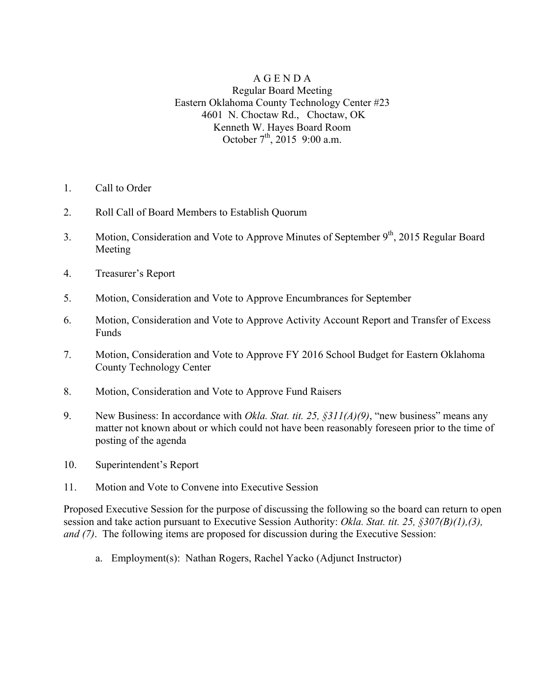## A G E N D A Regular Board Meeting Eastern Oklahoma County Technology Center #23 4601 N. Choctaw Rd., Choctaw, OK Kenneth W. Hayes Board Room October  $7^{\text{th}}$ , 2015 9:00 a.m.

- 1. Call to Order
- 2. Roll Call of Board Members to Establish Quorum
- 3. Motion, Consideration and Vote to Approve Minutes of September 9<sup>th</sup>, 2015 Regular Board Meeting
- 4. Treasurer's Report
- 5. Motion, Consideration and Vote to Approve Encumbrances for September
- 6. Motion, Consideration and Vote to Approve Activity Account Report and Transfer of Excess Funds
- 7. Motion, Consideration and Vote to Approve FY 2016 School Budget for Eastern Oklahoma County Technology Center
- 8. Motion, Consideration and Vote to Approve Fund Raisers
- 9. New Business: In accordance with *Okla. Stat. tit. 25, §311(A)(9)*, "new business" means any matter not known about or which could not have been reasonably foreseen prior to the time of posting of the agenda
- 10. Superintendent's Report
- 11. Motion and Vote to Convene into Executive Session

Proposed Executive Session for the purpose of discussing the following so the board can return to open session and take action pursuant to Executive Session Authority: *Okla. Stat. tit. 25, §307(B)(1),(3), and (7)*. The following items are proposed for discussion during the Executive Session:

a. Employment(s): Nathan Rogers, Rachel Yacko (Adjunct Instructor)